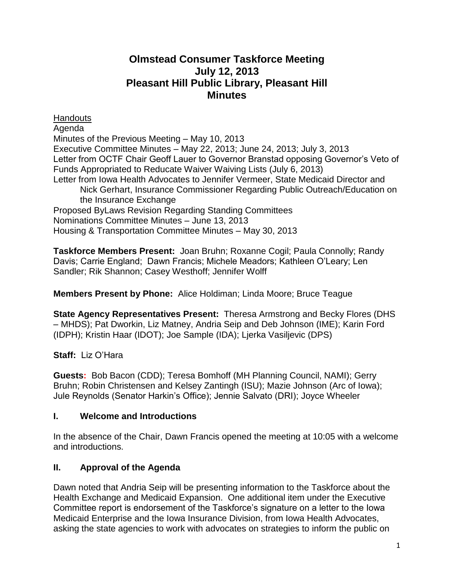# **Olmstead Consumer Taskforce Meeting July 12, 2013 Pleasant Hill Public Library, Pleasant Hill Minutes**

**Handouts** 

Agenda Minutes of the Previous Meeting – May 10, 2013 Executive Committee Minutes – May 22, 2013; June 24, 2013; July 3, 2013 Letter from OCTF Chair Geoff Lauer to Governor Branstad opposing Governor's Veto of Funds Appropriated to Reducate Waiver Waiving Lists (July 6, 2013) Letter from Iowa Health Advocates to Jennifer Vermeer, State Medicaid Director and Nick Gerhart, Insurance Commissioner Regarding Public Outreach/Education on the Insurance Exchange Proposed ByLaws Revision Regarding Standing Committees Nominations Committee Minutes – June 13, 2013 Housing & Transportation Committee Minutes – May 30, 2013

**Taskforce Members Present:** Joan Bruhn; Roxanne Cogil; Paula Connolly; Randy Davis; Carrie England; Dawn Francis; Michele Meadors; Kathleen O'Leary; Len Sandler; Rik Shannon; Casey Westhoff; Jennifer Wolff

**Members Present by Phone:** Alice Holdiman; Linda Moore; Bruce Teague

**State Agency Representatives Present:** Theresa Armstrong and Becky Flores (DHS – MHDS); Pat Dworkin, Liz Matney, Andria Seip and Deb Johnson (IME); Karin Ford (IDPH); Kristin Haar (IDOT); Joe Sample (IDA); Ljerka Vasiljevic (DPS)

**Staff:** Liz O'Hara

**Guests:** Bob Bacon (CDD); Teresa Bomhoff (MH Planning Council, NAMI); Gerry Bruhn; Robin Christensen and Kelsey Zantingh (ISU); Mazie Johnson (Arc of Iowa); Jule Reynolds (Senator Harkin's Office); Jennie Salvato (DRI); Joyce Wheeler

# **I. Welcome and Introductions**

In the absence of the Chair, Dawn Francis opened the meeting at 10:05 with a welcome and introductions.

# **II. Approval of the Agenda**

Dawn noted that Andria Seip will be presenting information to the Taskforce about the Health Exchange and Medicaid Expansion. One additional item under the Executive Committee report is endorsement of the Taskforce's signature on a letter to the Iowa Medicaid Enterprise and the Iowa Insurance Division, from Iowa Health Advocates, asking the state agencies to work with advocates on strategies to inform the public on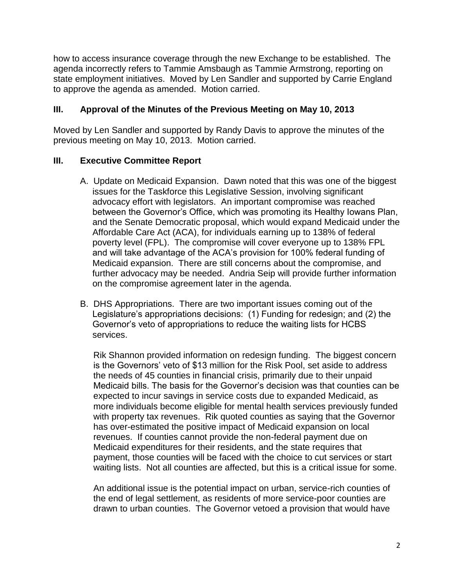how to access insurance coverage through the new Exchange to be established. The agenda incorrectly refers to Tammie Amsbaugh as Tammie Armstrong, reporting on state employment initiatives. Moved by Len Sandler and supported by Carrie England to approve the agenda as amended. Motion carried.

# **III. Approval of the Minutes of the Previous Meeting on May 10, 2013**

Moved by Len Sandler and supported by Randy Davis to approve the minutes of the previous meeting on May 10, 2013. Motion carried.

# **III. Executive Committee Report**

- A. Update on Medicaid Expansion. Dawn noted that this was one of the biggest issues for the Taskforce this Legislative Session, involving significant advocacy effort with legislators. An important compromise was reached between the Governor's Office, which was promoting its Healthy Iowans Plan, and the Senate Democratic proposal, which would expand Medicaid under the Affordable Care Act (ACA), for individuals earning up to 138% of federal poverty level (FPL). The compromise will cover everyone up to 138% FPL and will take advantage of the ACA's provision for 100% federal funding of Medicaid expansion. There are still concerns about the compromise, and further advocacy may be needed. Andria Seip will provide further information on the compromise agreement later in the agenda.
- B. DHS Appropriations. There are two important issues coming out of the Legislature's appropriations decisions: (1) Funding for redesign; and (2) the Governor's veto of appropriations to reduce the waiting lists for HCBS services.

Rik Shannon provided information on redesign funding. The biggest concern is the Governors' veto of \$13 million for the Risk Pool, set aside to address the needs of 45 counties in financial crisis, primarily due to their unpaid Medicaid bills. The basis for the Governor's decision was that counties can be expected to incur savings in service costs due to expanded Medicaid, as more individuals become eligible for mental health services previously funded with property tax revenues. Rik quoted counties as saying that the Governor has over-estimated the positive impact of Medicaid expansion on local revenues. If counties cannot provide the non-federal payment due on Medicaid expenditures for their residents, and the state requires that payment, those counties will be faced with the choice to cut services or start waiting lists. Not all counties are affected, but this is a critical issue for some.

An additional issue is the potential impact on urban, service-rich counties of the end of legal settlement, as residents of more service-poor counties are drawn to urban counties. The Governor vetoed a provision that would have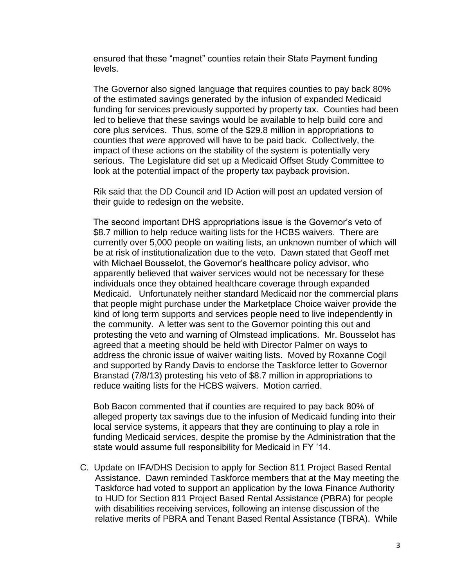ensured that these "magnet" counties retain their State Payment funding levels.

The Governor also signed language that requires counties to pay back 80% of the estimated savings generated by the infusion of expanded Medicaid funding for services previously supported by property tax. Counties had been led to believe that these savings would be available to help build core and core plus services. Thus, some of the \$29.8 million in appropriations to counties that *were* approved will have to be paid back. Collectively, the impact of these actions on the stability of the system is potentially very serious. The Legislature did set up a Medicaid Offset Study Committee to look at the potential impact of the property tax payback provision.

Rik said that the DD Council and ID Action will post an updated version of their guide to redesign on the website.

The second important DHS appropriations issue is the Governor's veto of \$8.7 million to help reduce waiting lists for the HCBS waivers. There are currently over 5,000 people on waiting lists, an unknown number of which will be at risk of institutionalization due to the veto. Dawn stated that Geoff met with Michael Bousselot, the Governor's healthcare policy advisor, who apparently believed that waiver services would not be necessary for these individuals once they obtained healthcare coverage through expanded Medicaid. Unfortunately neither standard Medicaid nor the commercial plans that people might purchase under the Marketplace Choice waiver provide the kind of long term supports and services people need to live independently in the community. A letter was sent to the Governor pointing this out and protesting the veto and warning of Olmstead implications. Mr. Bousselot has agreed that a meeting should be held with Director Palmer on ways to address the chronic issue of waiver waiting lists. Moved by Roxanne Cogil and supported by Randy Davis to endorse the Taskforce letter to Governor Branstad (7/8/13) protesting his veto of \$8.7 million in appropriations to reduce waiting lists for the HCBS waivers. Motion carried.

Bob Bacon commented that if counties are required to pay back 80% of alleged property tax savings due to the infusion of Medicaid funding into their local service systems, it appears that they are continuing to play a role in funding Medicaid services, despite the promise by the Administration that the state would assume full responsibility for Medicaid in FY '14.

C. Update on IFA/DHS Decision to apply for Section 811 Project Based Rental Assistance. Dawn reminded Taskforce members that at the May meeting the Taskforce had voted to support an application by the Iowa Finance Authority to HUD for Section 811 Project Based Rental Assistance (PBRA) for people with disabilities receiving services, following an intense discussion of the relative merits of PBRA and Tenant Based Rental Assistance (TBRA). While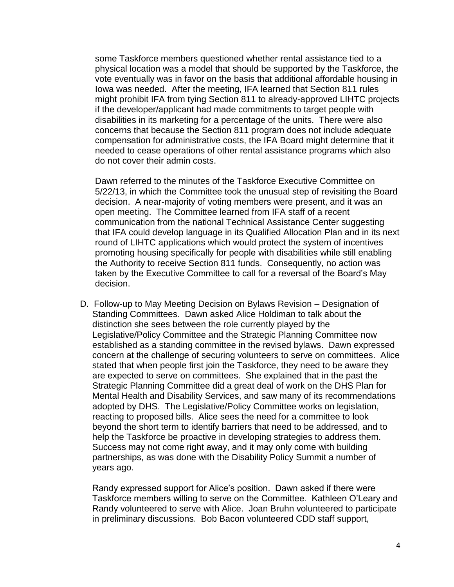some Taskforce members questioned whether rental assistance tied to a physical location was a model that should be supported by the Taskforce, the vote eventually was in favor on the basis that additional affordable housing in Iowa was needed. After the meeting, IFA learned that Section 811 rules might prohibit IFA from tying Section 811 to already-approved LIHTC projects if the developer/applicant had made commitments to target people with disabilities in its marketing for a percentage of the units. There were also concerns that because the Section 811 program does not include adequate compensation for administrative costs, the IFA Board might determine that it needed to cease operations of other rental assistance programs which also do not cover their admin costs.

Dawn referred to the minutes of the Taskforce Executive Committee on 5/22/13, in which the Committee took the unusual step of revisiting the Board decision. A near-majority of voting members were present, and it was an open meeting. The Committee learned from IFA staff of a recent communication from the national Technical Assistance Center suggesting that IFA could develop language in its Qualified Allocation Plan and in its next round of LIHTC applications which would protect the system of incentives promoting housing specifically for people with disabilities while still enabling the Authority to receive Section 811 funds. Consequently, no action was taken by the Executive Committee to call for a reversal of the Board's May decision.

D. Follow-up to May Meeting Decision on Bylaws Revision – Designation of Standing Committees. Dawn asked Alice Holdiman to talk about the distinction she sees between the role currently played by the Legislative/Policy Committee and the Strategic Planning Committee now established as a standing committee in the revised bylaws. Dawn expressed concern at the challenge of securing volunteers to serve on committees. Alice stated that when people first join the Taskforce, they need to be aware they are expected to serve on committees. She explained that in the past the Strategic Planning Committee did a great deal of work on the DHS Plan for Mental Health and Disability Services, and saw many of its recommendations adopted by DHS. The Legislative/Policy Committee works on legislation, reacting to proposed bills. Alice sees the need for a committee to look beyond the short term to identify barriers that need to be addressed, and to help the Taskforce be proactive in developing strategies to address them. Success may not come right away, and it may only come with building partnerships, as was done with the Disability Policy Summit a number of years ago.

Randy expressed support for Alice's position. Dawn asked if there were Taskforce members willing to serve on the Committee. Kathleen O'Leary and Randy volunteered to serve with Alice. Joan Bruhn volunteered to participate in preliminary discussions. Bob Bacon volunteered CDD staff support,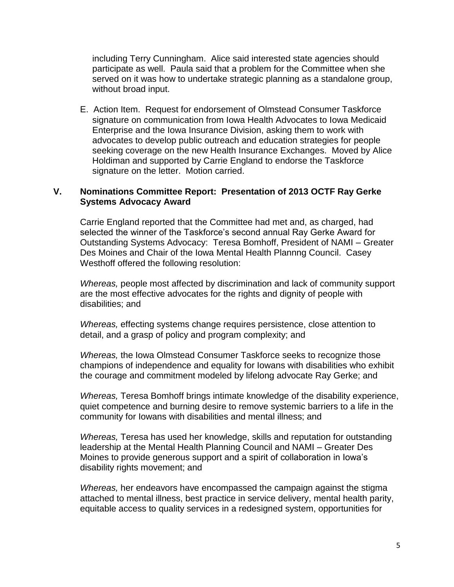including Terry Cunningham. Alice said interested state agencies should participate as well. Paula said that a problem for the Committee when she served on it was how to undertake strategic planning as a standalone group, without broad input.

E. Action Item. Request for endorsement of Olmstead Consumer Taskforce signature on communication from Iowa Health Advocates to Iowa Medicaid Enterprise and the Iowa Insurance Division, asking them to work with advocates to develop public outreach and education strategies for people seeking coverage on the new Health Insurance Exchanges. Moved by Alice Holdiman and supported by Carrie England to endorse the Taskforce signature on the letter. Motion carried.

#### **V. Nominations Committee Report: Presentation of 2013 OCTF Ray Gerke Systems Advocacy Award**

Carrie England reported that the Committee had met and, as charged, had selected the winner of the Taskforce's second annual Ray Gerke Award for Outstanding Systems Advocacy: Teresa Bomhoff, President of NAMI – Greater Des Moines and Chair of the Iowa Mental Health Plannng Council. Casey Westhoff offered the following resolution:

*Whereas,* people most affected by discrimination and lack of community support are the most effective advocates for the rights and dignity of people with disabilities; and

*Whereas,* effecting systems change requires persistence, close attention to detail, and a grasp of policy and program complexity; and

*Whereas,* the Iowa Olmstead Consumer Taskforce seeks to recognize those champions of independence and equality for Iowans with disabilities who exhibit the courage and commitment modeled by lifelong advocate Ray Gerke; and

*Whereas,* Teresa Bomhoff brings intimate knowledge of the disability experience, quiet competence and burning desire to remove systemic barriers to a life in the community for Iowans with disabilities and mental illness; and

*Whereas,* Teresa has used her knowledge, skills and reputation for outstanding leadership at the Mental Health Planning Council and NAMI – Greater Des Moines to provide generous support and a spirit of collaboration in Iowa's disability rights movement; and

*Whereas,* her endeavors have encompassed the campaign against the stigma attached to mental illness, best practice in service delivery, mental health parity, equitable access to quality services in a redesigned system, opportunities for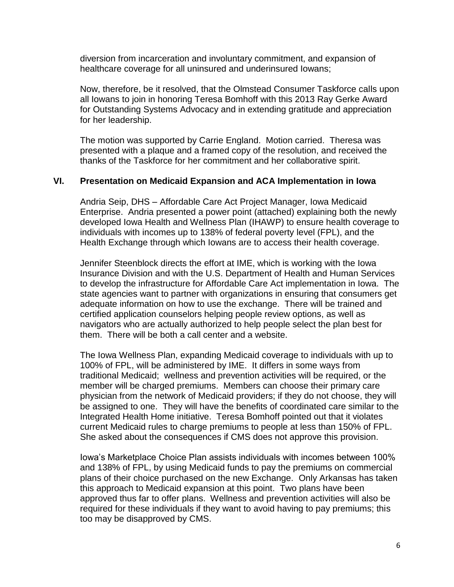diversion from incarceration and involuntary commitment, and expansion of healthcare coverage for all uninsured and underinsured Iowans;

Now, therefore, be it resolved, that the Olmstead Consumer Taskforce calls upon all Iowans to join in honoring Teresa Bomhoff with this 2013 Ray Gerke Award for Outstanding Systems Advocacy and in extending gratitude and appreciation for her leadership.

The motion was supported by Carrie England. Motion carried. Theresa was presented with a plaque and a framed copy of the resolution, and received the thanks of the Taskforce for her commitment and her collaborative spirit.

#### **VI. Presentation on Medicaid Expansion and ACA Implementation in Iowa**

Andria Seip, DHS – Affordable Care Act Project Manager, Iowa Medicaid Enterprise. Andria presented a power point (attached) explaining both the newly developed Iowa Health and Wellness Plan (IHAWP) to ensure health coverage to individuals with incomes up to 138% of federal poverty level (FPL), and the Health Exchange through which Iowans are to access their health coverage.

Jennifer Steenblock directs the effort at IME, which is working with the Iowa Insurance Division and with the U.S. Department of Health and Human Services to develop the infrastructure for Affordable Care Act implementation in Iowa. The state agencies want to partner with organizations in ensuring that consumers get adequate information on how to use the exchange. There will be trained and certified application counselors helping people review options, as well as navigators who are actually authorized to help people select the plan best for them. There will be both a call center and a website.

The Iowa Wellness Plan, expanding Medicaid coverage to individuals with up to 100% of FPL, will be administered by IME. It differs in some ways from traditional Medicaid; wellness and prevention activities will be required, or the member will be charged premiums. Members can choose their primary care physician from the network of Medicaid providers; if they do not choose, they will be assigned to one. They will have the benefits of coordinated care similar to the Integrated Health Home initiative. Teresa Bomhoff pointed out that it violates current Medicaid rules to charge premiums to people at less than 150% of FPL. She asked about the consequences if CMS does not approve this provision.

Iowa's Marketplace Choice Plan assists individuals with incomes between 100% and 138% of FPL, by using Medicaid funds to pay the premiums on commercial plans of their choice purchased on the new Exchange. Only Arkansas has taken this approach to Medicaid expansion at this point. Two plans have been approved thus far to offer plans. Wellness and prevention activities will also be required for these individuals if they want to avoid having to pay premiums; this too may be disapproved by CMS.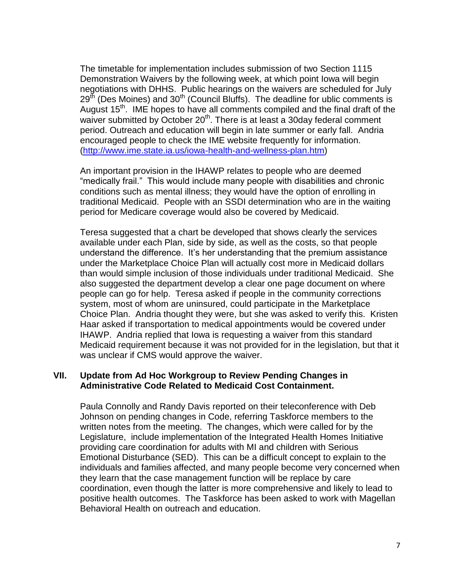The timetable for implementation includes submission of two Section 1115 Demonstration Waivers by the following week, at which point Iowa will begin negotiations with DHHS. Public hearings on the waivers are scheduled for July  $29<sup>th</sup>$  (Des Moines) and  $30<sup>th</sup>$  (Council Bluffs). The deadline for ublic comments is August 15<sup>th</sup>. IME hopes to have all comments compiled and the final draft of the waiver submitted by October  $20<sup>th</sup>$ . There is at least a 30day federal comment period. Outreach and education will begin in late summer or early fall. Andria encouraged people to check the IME website frequently for information. [\(http://www.ime.state.ia.us/iowa-health-and-wellness-plan.htm\)](http://www.ime.state.ia.us/iowa-health-and-wellness-plan.htm)

An important provision in the IHAWP relates to people who are deemed "medically frail." This would include many people with disabilities and chronic conditions such as mental illness; they would have the option of enrolling in traditional Medicaid. People with an SSDI determination who are in the waiting period for Medicare coverage would also be covered by Medicaid.

Teresa suggested that a chart be developed that shows clearly the services available under each Plan, side by side, as well as the costs, so that people understand the difference. It's her understanding that the premium assistance under the Marketplace Choice Plan will actually cost more in Medicaid dollars than would simple inclusion of those individuals under traditional Medicaid. She also suggested the department develop a clear one page document on where people can go for help. Teresa asked if people in the community corrections system, most of whom are uninsured, could participate in the Marketplace Choice Plan. Andria thought they were, but she was asked to verify this. Kristen Haar asked if transportation to medical appointments would be covered under IHAWP. Andria replied that Iowa is requesting a waiver from this standard Medicaid requirement because it was not provided for in the legislation, but that it was unclear if CMS would approve the waiver.

# **VII. Update from Ad Hoc Workgroup to Review Pending Changes in Administrative Code Related to Medicaid Cost Containment.**

Paula Connolly and Randy Davis reported on their teleconference with Deb Johnson on pending changes in Code, referring Taskforce members to the written notes from the meeting. The changes, which were called for by the Legislature, include implementation of the Integrated Health Homes Initiative providing care coordination for adults with MI and children with Serious Emotional Disturbance (SED). This can be a difficult concept to explain to the individuals and families affected, and many people become very concerned when they learn that the case management function will be replace by care coordination, even though the latter is more comprehensive and likely to lead to positive health outcomes. The Taskforce has been asked to work with Magellan Behavioral Health on outreach and education.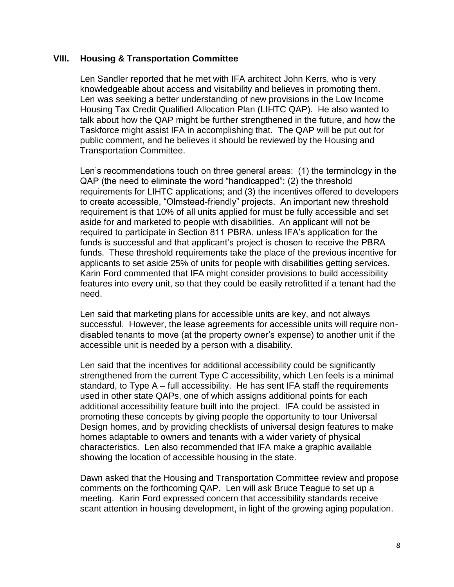#### **VIII. Housing & Transportation Committee**

Len Sandler reported that he met with IFA architect John Kerrs, who is very knowledgeable about access and visitability and believes in promoting them. Len was seeking a better understanding of new provisions in the Low Income Housing Tax Credit Qualified Allocation Plan (LIHTC QAP). He also wanted to talk about how the QAP might be further strengthened in the future, and how the Taskforce might assist IFA in accomplishing that. The QAP will be put out for public comment, and he believes it should be reviewed by the Housing and Transportation Committee.

Len's recommendations touch on three general areas: (1) the terminology in the QAP (the need to eliminate the word "handicapped"; (2) the threshold requirements for LIHTC applications; and (3) the incentives offered to developers to create accessible, "Olmstead-friendly" projects. An important new threshold requirement is that 10% of all units applied for must be fully accessible and set aside for and marketed to people with disabilities. An applicant will not be required to participate in Section 811 PBRA, unless IFA's application for the funds is successful and that applicant's project is chosen to receive the PBRA funds. These threshold requirements take the place of the previous incentive for applicants to set aside 25% of units for people with disabilities getting services. Karin Ford commented that IFA might consider provisions to build accessibility features into every unit, so that they could be easily retrofitted if a tenant had the need.

Len said that marketing plans for accessible units are key, and not always successful. However, the lease agreements for accessible units will require nondisabled tenants to move (at the property owner's expense) to another unit if the accessible unit is needed by a person with a disability.

Len said that the incentives for additional accessibility could be significantly strengthened from the current Type C accessibility, which Len feels is a minimal standard, to Type A – full accessibility. He has sent IFA staff the requirements used in other state QAPs, one of which assigns additional points for each additional accessibility feature built into the project. IFA could be assisted in promoting these concepts by giving people the opportunity to tour Universal Design homes, and by providing checklists of universal design features to make homes adaptable to owners and tenants with a wider variety of physical characteristics. Len also recommended that IFA make a graphic available showing the location of accessible housing in the state.

Dawn asked that the Housing and Transportation Committee review and propose comments on the forthcoming QAP. Len will ask Bruce Teague to set up a meeting. Karin Ford expressed concern that accessibility standards receive scant attention in housing development, in light of the growing aging population.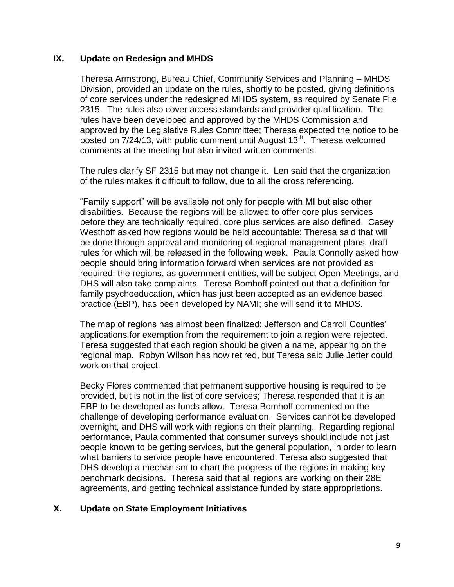# **IX. Update on Redesign and MHDS**

Theresa Armstrong, Bureau Chief, Community Services and Planning – MHDS Division, provided an update on the rules, shortly to be posted, giving definitions of core services under the redesigned MHDS system, as required by Senate File 2315. The rules also cover access standards and provider qualification. The rules have been developed and approved by the MHDS Commission and approved by the Legislative Rules Committee; Theresa expected the notice to be posted on  $7/24/13$ , with public comment until August  $13<sup>th</sup>$ . Theresa welcomed comments at the meeting but also invited written comments.

The rules clarify SF 2315 but may not change it. Len said that the organization of the rules makes it difficult to follow, due to all the cross referencing.

"Family support" will be available not only for people with MI but also other disabilities. Because the regions will be allowed to offer core plus services before they are technically required, core plus services are also defined. Casey Westhoff asked how regions would be held accountable; Theresa said that will be done through approval and monitoring of regional management plans, draft rules for which will be released in the following week. Paula Connolly asked how people should bring information forward when services are not provided as required; the regions, as government entities, will be subject Open Meetings, and DHS will also take complaints. Teresa Bomhoff pointed out that a definition for family psychoeducation, which has just been accepted as an evidence based practice (EBP), has been developed by NAMI; she will send it to MHDS.

The map of regions has almost been finalized; Jefferson and Carroll Counties' applications for exemption from the requirement to join a region were rejected. Teresa suggested that each region should be given a name, appearing on the regional map. Robyn Wilson has now retired, but Teresa said Julie Jetter could work on that project.

Becky Flores commented that permanent supportive housing is required to be provided, but is not in the list of core services; Theresa responded that it is an EBP to be developed as funds allow. Teresa Bomhoff commented on the challenge of developing performance evaluation. Services cannot be developed overnight, and DHS will work with regions on their planning. Regarding regional performance, Paula commented that consumer surveys should include not just people known to be getting services, but the general population, in order to learn what barriers to service people have encountered. Teresa also suggested that DHS develop a mechanism to chart the progress of the regions in making key benchmark decisions. Theresa said that all regions are working on their 28E agreements, and getting technical assistance funded by state appropriations.

# **X. Update on State Employment Initiatives**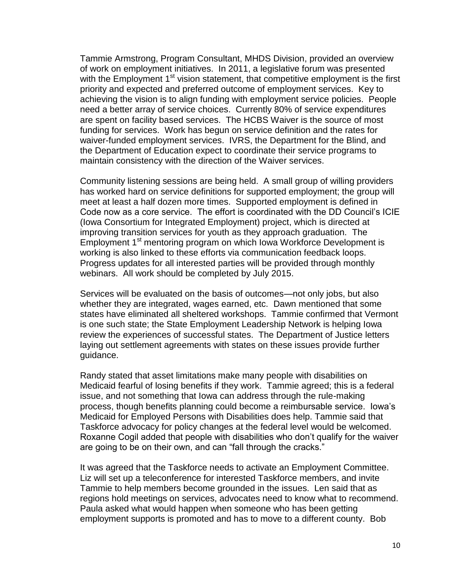Tammie Armstrong, Program Consultant, MHDS Division, provided an overview of work on employment initiatives. In 2011, a legislative forum was presented with the Employment  $1<sup>st</sup>$  vision statement, that competitive employment is the first priority and expected and preferred outcome of employment services. Key to achieving the vision is to align funding with employment service policies. People need a better array of service choices. Currently 80% of service expenditures are spent on facility based services. The HCBS Waiver is the source of most funding for services. Work has begun on service definition and the rates for waiver-funded employment services. IVRS, the Department for the Blind, and the Department of Education expect to coordinate their service programs to maintain consistency with the direction of the Waiver services.

Community listening sessions are being held. A small group of willing providers has worked hard on service definitions for supported employment; the group will meet at least a half dozen more times. Supported employment is defined in Code now as a core service. The effort is coordinated with the DD Council's ICIE (Iowa Consortium for Integrated Employment) project, which is directed at improving transition services for youth as they approach graduation. The Employment 1<sup>st</sup> mentoring program on which Iowa Workforce Development is working is also linked to these efforts via communication feedback loops. Progress updates for all interested parties will be provided through monthly webinars. All work should be completed by July 2015.

Services will be evaluated on the basis of outcomes—not only jobs, but also whether they are integrated, wages earned, etc. Dawn mentioned that some states have eliminated all sheltered workshops. Tammie confirmed that Vermont is one such state; the State Employment Leadership Network is helping Iowa review the experiences of successful states. The Department of Justice letters laying out settlement agreements with states on these issues provide further guidance.

Randy stated that asset limitations make many people with disabilities on Medicaid fearful of losing benefits if they work. Tammie agreed; this is a federal issue, and not something that Iowa can address through the rule-making process, though benefits planning could become a reimbursable service. Iowa's Medicaid for Employed Persons with Disabilities does help. Tammie said that Taskforce advocacy for policy changes at the federal level would be welcomed. Roxanne Cogil added that people with disabilities who don't qualify for the waiver are going to be on their own, and can "fall through the cracks."

It was agreed that the Taskforce needs to activate an Employment Committee. Liz will set up a teleconference for interested Taskforce members, and invite Tammie to help members become grounded in the issues. Len said that as regions hold meetings on services, advocates need to know what to recommend. Paula asked what would happen when someone who has been getting employment supports is promoted and has to move to a different county. Bob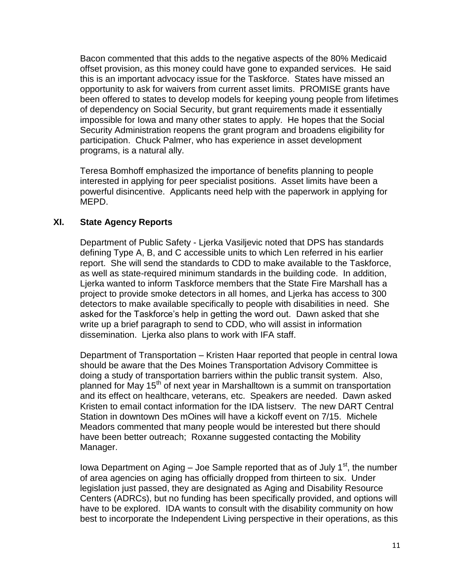Bacon commented that this adds to the negative aspects of the 80% Medicaid offset provision, as this money could have gone to expanded services. He said this is an important advocacy issue for the Taskforce. States have missed an opportunity to ask for waivers from current asset limits. PROMISE grants have been offered to states to develop models for keeping young people from lifetimes of dependency on Social Security, but grant requirements made it essentially impossible for Iowa and many other states to apply. He hopes that the Social Security Administration reopens the grant program and broadens eligibility for participation. Chuck Palmer, who has experience in asset development programs, is a natural ally.

Teresa Bomhoff emphasized the importance of benefits planning to people interested in applying for peer specialist positions. Asset limits have been a powerful disincentive. Applicants need help with the paperwork in applying for MEPD.

# **XI. State Agency Reports**

Department of Public Safety - Ljerka Vasiljevic noted that DPS has standards defining Type A, B, and C accessible units to which Len referred in his earlier report. She will send the standards to CDD to make available to the Taskforce, as well as state-required minimum standards in the building code. In addition, Ljerka wanted to inform Taskforce members that the State Fire Marshall has a project to provide smoke detectors in all homes, and Ljerka has access to 300 detectors to make available specifically to people with disabilities in need. She asked for the Taskforce's help in getting the word out. Dawn asked that she write up a brief paragraph to send to CDD, who will assist in information dissemination. Ljerka also plans to work with IFA staff.

Department of Transportation – Kristen Haar reported that people in central Iowa should be aware that the Des Moines Transportation Advisory Committee is doing a study of transportation barriers within the public transit system. Also, planned for May 15<sup>th</sup> of next year in Marshalltown is a summit on transportation and its effect on healthcare, veterans, etc. Speakers are needed. Dawn asked Kristen to email contact information for the IDA listserv. The new DART Central Station in downtown Des mOines will have a kickoff event on 7/15. Michele Meadors commented that many people would be interested but there should have been better outreach; Roxanne suggested contacting the Mobility Manager.

Iowa Department on Aging  $-$  Joe Sample reported that as of July 1<sup>st</sup>, the number of area agencies on aging has officially dropped from thirteen to six. Under legislation just passed, they are designated as Aging and Disability Resource Centers (ADRCs), but no funding has been specifically provided, and options will have to be explored. IDA wants to consult with the disability community on how best to incorporate the Independent Living perspective in their operations, as this